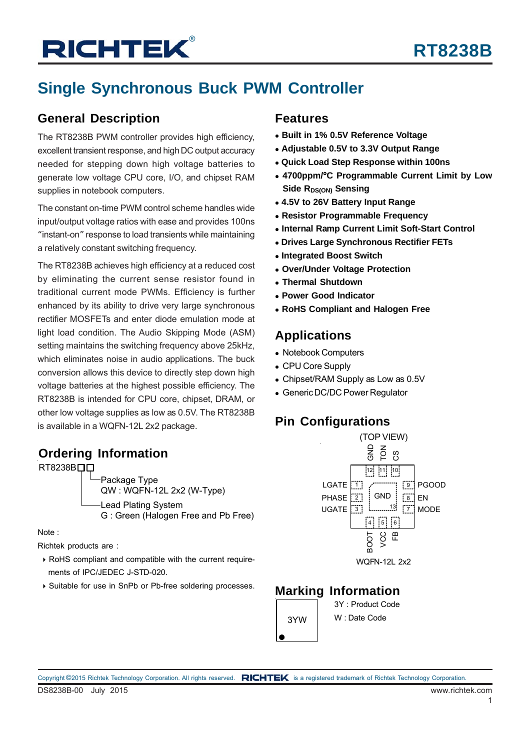# **Single Synchronous Buck PWM Controller**

### **General Description**

The RT8238B PWM controller provides high efficiency, excellent transient response, and high DC output accuracy needed for stepping down high voltage batteries to generate low voltage CPU core, I/O, and chipset RAM supplies in notebook computers.

The constant on-time PWM control scheme handles wide input/output voltage ratios with ease and provides 100ns "instant-on" response to load transients while maintaining a relatively constant switching frequency.

The RT8238B achieves high efficiency at a reduced cost by eliminating the current sense resistor found in traditional current mode PWMs. Efficiency is further enhanced by its ability to drive very large synchronous rectifier MOSFETs and enter diode emulation mode at light load condition. The Audio Skipping Mode (ASM) setting maintains the switching frequency above 25kHz, which eliminates noise in audio applications. The buck conversion allows this device to directly step down high voltage batteries at the highest possible efficiency. The RT8238B is intended for CPU core, chipset, DRAM, or other low voltage supplies as low as 0.5V. The RT8238B is available in a WQFN-12L 2x2 package.

## **Ordering Information**

RT8238B<sub>DD</sub>

Package Type QW : WQFN-12L 2x2 (W-Type) Lead Plating System G : Green (Halogen Free and Pb Free)

Note :

Richtek products are :

- RoHS compliant and compatible with the current require ments of IPC/JEDEC J-STD-020.
- Suitable for use in SnPb or Pb-free soldering processes.

### **Features**

- **Built in 1% 0.5V Reference Voltage**
- **Adjustable 0.5V to 3.3V Output Range**
- **Quick Load Step Response within 100ns**
- **4700ppm/**°**C Programmable Current Limit by Low Side RDS(ON) Sensing**
- **4.5V to 26V Battery Input Range**
- **Resistor Programmable Frequency**
- **Internal Ramp Current Limit Soft-Start Control**
- **Drives Large Synchronous Rectifier FETs**
- **Integrated Boost Switch**
- **Over/Under Voltage Protection**
- **Thermal Shutdown**
- **Power Good Indicator**
- **RoHS Compliant and Halogen Free**

### **Applications**

- Notebook Computers
- CPU Core Supply
- Chipset/RAM Supply as Low as 0.5V
- Generic DC/DC Power Regulator

## **Pin Configurations**



### **Marking Information**

3Y : Product Code 3YW | W: Date Code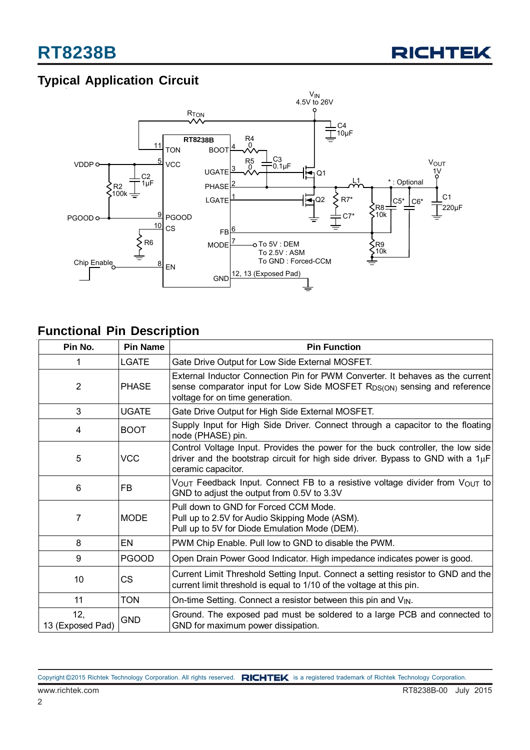

# **Typical Application Circuit**



# **Functional Pin Description**

| Pin No.                 | <b>Pin Name</b> | <b>Pin Function</b>                                                                                                                                                                                      |  |  |
|-------------------------|-----------------|----------------------------------------------------------------------------------------------------------------------------------------------------------------------------------------------------------|--|--|
| 1                       | <b>LGATE</b>    | Gate Drive Output for Low Side External MOSFET.                                                                                                                                                          |  |  |
| 2                       | <b>PHASE</b>    | External Inductor Connection Pin for PWM Converter. It behaves as the current<br>sense comparator input for Low Side MOSFET R <sub>DS(ON)</sub> sensing and reference<br>voltage for on time generation. |  |  |
| 3                       | <b>UGATE</b>    | Gate Drive Output for High Side External MOSFET.                                                                                                                                                         |  |  |
| 4                       | <b>BOOT</b>     | Supply Input for High Side Driver. Connect through a capacitor to the floating<br>node (PHASE) pin.                                                                                                      |  |  |
| 5                       | <b>VCC</b>      | Control Voltage Input. Provides the power for the buck controller, the low side<br>driver and the bootstrap circuit for high side driver. Bypass to GND with a $1\mu$ F<br>ceramic capacitor.            |  |  |
| 6                       | FB              | $V_{\text{OUT}}$ Feedback Input. Connect FB to a resistive voltage divider from $V_{\text{OUT}}$ to<br>GND to adjust the output from 0.5V to 3.3V                                                        |  |  |
| 7                       | <b>MODE</b>     | Pull down to GND for Forced CCM Mode.<br>Pull up to 2.5V for Audio Skipping Mode (ASM).<br>Pull up to 5V for Diode Emulation Mode (DEM).                                                                 |  |  |
| 8                       | <b>EN</b>       | PWM Chip Enable. Pull low to GND to disable the PWM.                                                                                                                                                     |  |  |
| 9                       | <b>PGOOD</b>    | Open Drain Power Good Indicator. High impedance indicates power is good.                                                                                                                                 |  |  |
| 10                      | <b>CS</b>       | Current Limit Threshold Setting Input. Connect a setting resistor to GND and the<br>current limit threshold is equal to 1/10 of the voltage at this pin.                                                 |  |  |
| 11                      | <b>TON</b>      | On-time Setting. Connect a resistor between this pin and V <sub>IN</sub> .                                                                                                                               |  |  |
| 12,<br>13 (Exposed Pad) | <b>GND</b>      | Ground. The exposed pad must be soldered to a large PCB and connected to<br>GND for maximum power dissipation.                                                                                           |  |  |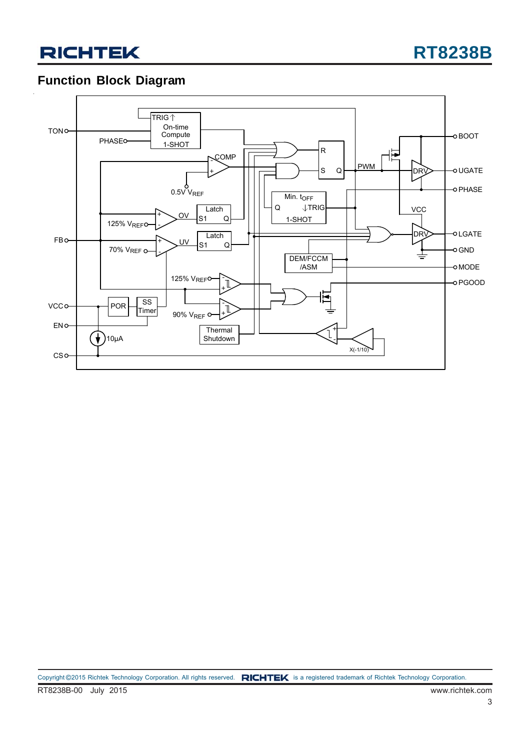# **Function Block Diagram**

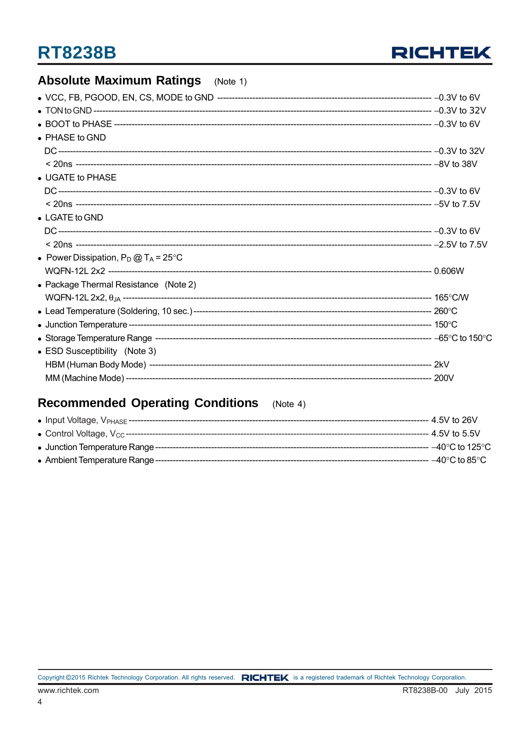

#### **Absolute Maximum Ratings**  $(Note 1)$

| $\bullet$ PHASE to GND                         |  |
|------------------------------------------------|--|
|                                                |  |
|                                                |  |
| • UGATE to PHASE                               |  |
|                                                |  |
|                                                |  |
| $\bullet$ LGATE to GND                         |  |
|                                                |  |
|                                                |  |
| • Power Dissipation, $P_D @ T_A = 25^{\circ}C$ |  |
|                                                |  |
| • Package Thermal Resistance (Note 2)          |  |
|                                                |  |
|                                                |  |
|                                                |  |
|                                                |  |
| • ESD Susceptibility (Note 3)                  |  |
|                                                |  |
|                                                |  |
|                                                |  |

#### **Recommended Operating Conditions**  $(Note 4)$

|                                  | --- 4.5V to 26V                     |
|----------------------------------|-------------------------------------|
|                                  | - 4.5V to 5.5V                      |
| • Junction Temperature Range --- | $-40^{\circ}$ C to 125 $^{\circ}$ C |
| • Ambient Temperature Range ---  | $-40^{\circ}$ C to 85 $^{\circ}$ C  |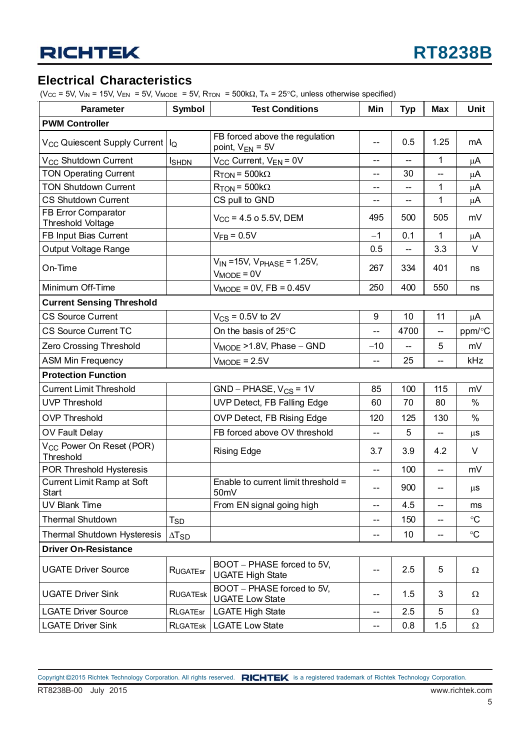### **Electrical Characteristics**

(V<sub>CC</sub> = 5V, V<sub>IN</sub> = 15V, V<sub>EN</sub> = 5V, V<sub>MODE</sub> = 5V, R<sub>TON</sub> = 500k $\Omega$ , T<sub>A</sub> = 25°C, unless otherwise specified)

| <b>Parameter</b>                                  | Symbol                   | <b>Test Conditions</b>                                   | Min                      | <b>Typ</b> | <b>Max</b> | Unit            |
|---------------------------------------------------|--------------------------|----------------------------------------------------------|--------------------------|------------|------------|-----------------|
| <b>PWM Controller</b>                             |                          |                                                          |                          |            |            |                 |
| V <sub>CC</sub> Quiescent Supply Current   IQ     |                          | FB forced above the regulation<br>point, $V_{EN}$ = 5V   | $- -$                    | 0.5        | 1.25       | mA              |
| V <sub>CC</sub> Shutdown Current                  | <b>I</b> SHDN            | V <sub>CC</sub> Current, V <sub>EN</sub> = 0V            | --                       |            | 1          | μA              |
| <b>TON Operating Current</b>                      |                          | $R_{\text{TON}}$ = 500k $\Omega$                         | $-$                      | 30         |            | μA              |
| <b>TON Shutdown Current</b>                       |                          | $R_{\text{TON}}$ = 500k $\Omega$                         | $\overline{\phantom{a}}$ | --         | 1          | $\mu$ A         |
| <b>CS Shutdown Current</b>                        |                          | CS pull to GND                                           | --                       |            | 1          | μA              |
| FB Error Comparator<br><b>Threshold Voltage</b>   |                          | $V_{CC}$ = 4.5 o 5.5V, DEM                               | 495                      | 500        | 505        | mV              |
| FB Input Bias Current                             |                          | $V_{FB} = 0.5V$                                          | $-1$                     | 0.1        | 1.         | μA              |
| Output Voltage Range                              |                          |                                                          | 0.5                      | --         | 3.3        | $\vee$          |
| On-Time                                           |                          | $V_{IN}$ = 15V, $V_{PHASE}$ = 1.25V,<br>$V_{MODE} = 0V$  | 267                      | 334        | 401        | ns              |
| Minimum Off-Time                                  |                          | $V_{MODE} = 0V$ , FB = 0.45V                             | 250                      | 400        | 550        | ns              |
| <b>Current Sensing Threshold</b>                  |                          |                                                          |                          |            |            |                 |
| <b>CS Source Current</b>                          |                          | $V_{CS}$ = 0.5V to 2V                                    | $\boldsymbol{9}$         | 10         | 11         | $\mu$ A         |
| <b>CS Source Current TC</b>                       |                          | On the basis of 25°C                                     | $- -$                    | 4700       | --         | ppm/°C          |
| Zero Crossing Threshold                           |                          | $V_{\text{MODE}}$ >1.8V, Phase - GND                     | $-10$                    |            | 5          | mV              |
| <b>ASM Min Frequency</b>                          |                          | $V_{MODE} = 2.5V$                                        | $- -$                    | 25         |            | kHz             |
| <b>Protection Function</b>                        |                          |                                                          |                          |            |            |                 |
| <b>Current Limit Threshold</b>                    |                          | $GND - PHASE, V_{CS} = 1V$                               | 85                       | 100        | 115        | mV              |
| <b>UVP Threshold</b>                              |                          | UVP Detect, FB Falling Edge                              | 60                       | 70         | 80         | $\%$            |
| <b>OVP Threshold</b>                              |                          | OVP Detect, FB Rising Edge                               | 120                      | 125        | 130        | $\%$            |
| OV Fault Delay                                    |                          | FB forced above OV threshold                             | $--$                     | 5          |            | $\mu$ S         |
| V <sub>CC</sub> Power On Reset (POR)<br>Threshold |                          | <b>Rising Edge</b>                                       | 3.7                      | 3.9        | 4.2        | $\vee$          |
| POR Threshold Hysteresis                          |                          |                                                          | $\overline{\phantom{a}}$ | 100        | --         | mV              |
| <b>Current Limit Ramp at Soft</b><br>Start        |                          | Enable to current limit threshold =<br>50 <sub>m</sub> V | $-$                      | 900        | --         | $\mu$ s         |
| <b>UV Blank Time</b>                              |                          | From EN signal going high                                | $-$                      | 4.5        | --         | ms              |
| <b>Thermal Shutdown</b>                           | T <sub>SD</sub>          |                                                          | $-1$                     | 150        | --         | $\rm ^{\circ}C$ |
| Thermal Shutdown Hysteresis                       | $\Delta$ T <sub>SD</sub> |                                                          | $- -$                    | 10         | --         | $\rm ^{\circ}C$ |
| <b>Driver On-Resistance</b>                       |                          |                                                          |                          |            |            |                 |
| <b>UGATE Driver Source</b>                        | <b>RUGATEsr</b>          | BOOT - PHASE forced to 5V,<br><b>UGATE High State</b>    | --                       | 2.5        | 5          | Ω               |
| <b>UGATE Driver Sink</b>                          | <b>RUGATEsk</b>          | BOOT - PHASE forced to 5V,<br><b>UGATE Low State</b>     | $-1$                     | 1.5        | 3          | Ω               |
| <b>LGATE Driver Source</b>                        | <b>RLGATEsr</b>          | <b>LGATE High State</b>                                  | $-$                      | 2.5        | 5          | Ω               |
| <b>LGATE Driver Sink</b>                          | <b>RLGATEsk</b>          | <b>LGATE Low State</b>                                   | $--$                     | 0.8        | 1.5        | $\Omega$        |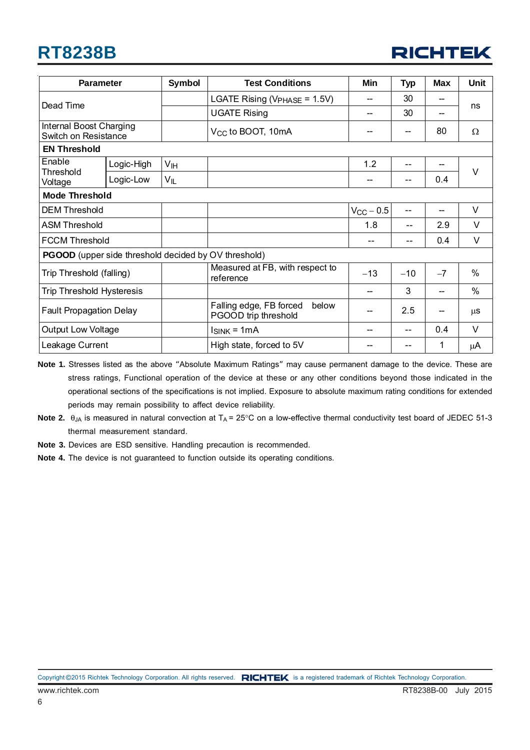# **RT8238B**



| <b>Parameter</b>                                     |            | <b>Symbol</b>   | <b>Test Conditions</b>                                   | Min                | <b>Typ</b> | <b>Max</b> | Unit          |  |
|------------------------------------------------------|------------|-----------------|----------------------------------------------------------|--------------------|------------|------------|---------------|--|
| Dead Time                                            |            |                 | LGATE Rising ( $V_{\text{PHASE}}$ = 1.5V)                | --                 | 30         | --         | ns            |  |
|                                                      |            |                 | <b>UGATE Rising</b>                                      | --                 | 30         | --         |               |  |
| Internal Boost Charging<br>Switch on Resistance      |            |                 | V <sub>CC</sub> to BOOT, 10mA                            |                    |            | 80         | Ω             |  |
| <b>EN Threshold</b>                                  |            |                 |                                                          |                    |            |            |               |  |
| Enable<br>Threshold<br>Voltage                       | Logic-High | V <sub>IH</sub> |                                                          | 1.2                | $- -$      |            | $\vee$        |  |
|                                                      | Logic-Low  | VIL             |                                                          |                    |            | 0.4        |               |  |
| <b>Mode Threshold</b>                                |            |                 |                                                          |                    |            |            |               |  |
| <b>DEM Threshold</b>                                 |            |                 |                                                          | $V_{\rm CC}$ – 0.5 | $-$        | --         | V             |  |
| <b>ASM Threshold</b>                                 |            |                 |                                                          | 1.8                | $-$        | 2.9        | $\vee$        |  |
| <b>FCCM Threshold</b>                                |            |                 |                                                          |                    | --         | 0.4        | V             |  |
| PGOOD (upper side threshold decided by OV threshold) |            |                 |                                                          |                    |            |            |               |  |
| Trip Threshold (falling)                             |            |                 | Measured at FB, with respect to<br>reference             | $-13$              | $-10$      | $-7$       | $\%$          |  |
| Trip Threshold Hysteresis                            |            |                 |                                                          |                    | 3          | --         | $\frac{0}{0}$ |  |
| <b>Fault Propagation Delay</b>                       |            |                 | Falling edge, FB forced<br>below<br>PGOOD trip threshold |                    | 2.5        | --         | μS            |  |
| <b>Output Low Voltage</b>                            |            |                 | $ISINK = 1mA$                                            |                    | --         | 0.4        | $\vee$        |  |
| Leakage Current                                      |            |                 | High state, forced to 5V                                 |                    |            | 1          | μA            |  |

**Note 1.** Stresses listed as the above "Absolute Maximum Ratings" may cause permanent damage to the device. These are stress ratings, Functional operation of the device at these or any other conditions beyond those indicated in the operational sections of the specifications is not implied. Exposure to absolute maximum rating conditions for extended periods may remain possibility to affect device reliability.

- **Note 2.**  $\theta_{JA}$  is measured in natural convection at  $T_A = 25^\circ \text{C}$  on a low-effective thermal conductivity test board of JEDEC 51-3 thermal measurement standard.
- **Note 3.** Devices are ESD sensitive. Handling precaution is recommended.
- **Note 4.** The device is not guaranteed to function outside its operating conditions.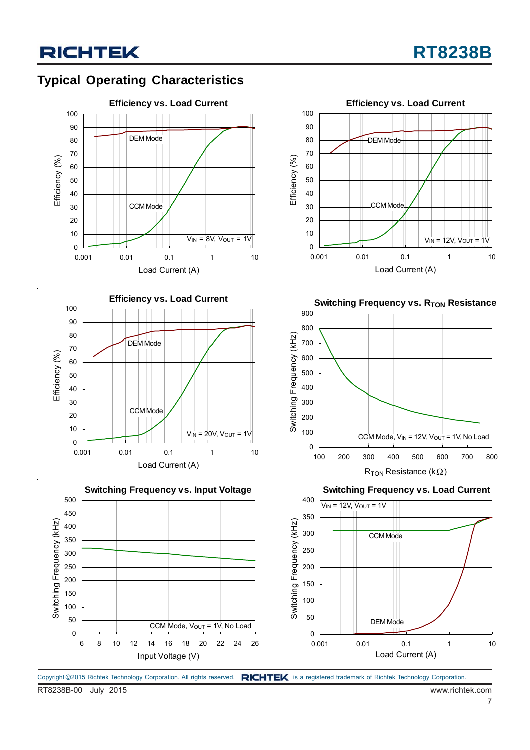# **Typical Operating Characteristics**









**Switching Frequency vs. R<sub>TON</sub> Resistance** 



**Switching Frequency vs. Load Current**



Copyright ©2015 Richtek Technology Corporation. All rights reserved. RICHTEK is a registered trademark of Richtek Technology Corporation.

RT8238B-00 July 2015 www.richtek.com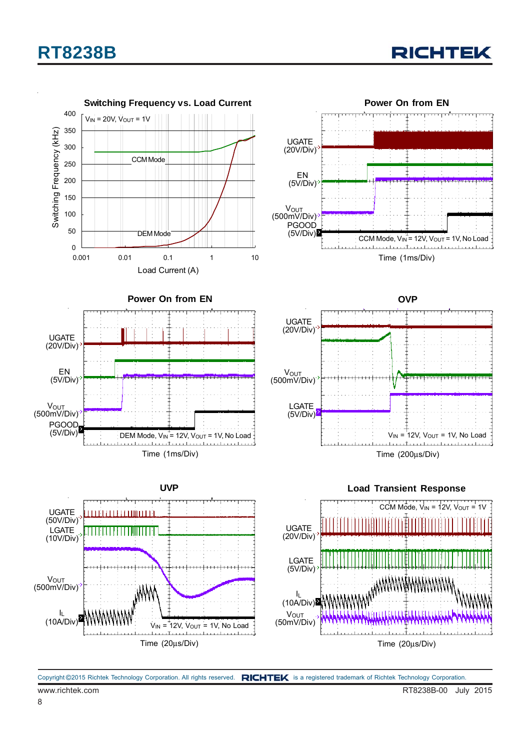# **RT8238B**





www.richtek.com **RT8238B-00** July 2015 Copyright ©2015 Richtek Technology Corporation. All rights reserved. RICHTEK is a registered trademark of Richtek Technology Corporation.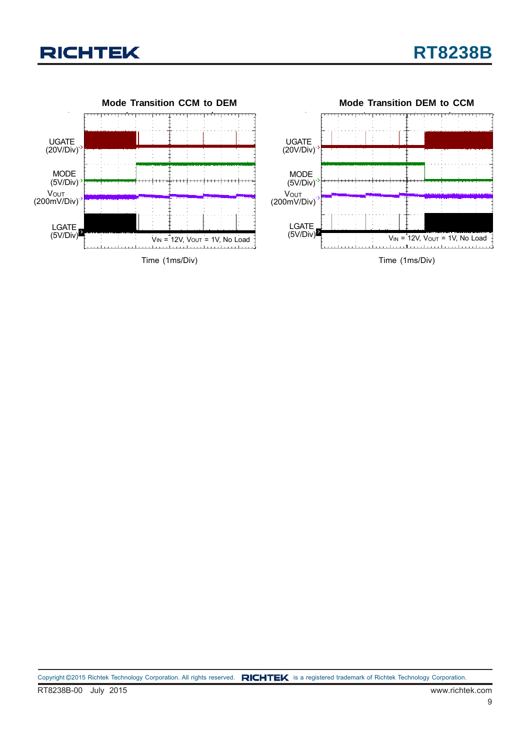

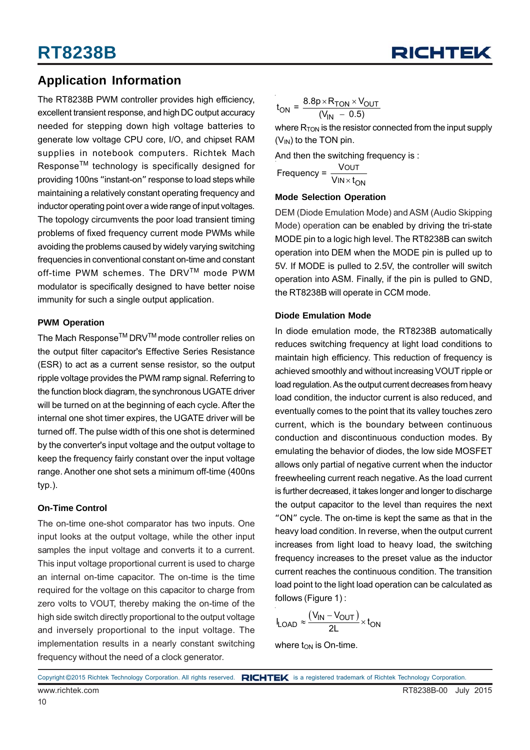

### **Application Information**

The RT8238B PWM controller provides high efficiency, excellent transient response, and high DC output accuracy needed for stepping down high voltage batteries to generate low voltage CPU core, I/O, and chipset RAM supplies in notebook computers. Richtek Mach Response<sup>™</sup> technology is specifically designed for providing 100ns "instant-on" response to load steps while maintaining a relatively constant operating frequency and inductor operating point over a wide range of input voltages. The topology circumvents the poor load transient timing problems of fixed frequency current mode PWMs while avoiding the problems caused by widely varying switching frequencies in conventional constant on-time and constant off-time PWM schemes. The DRVTM mode PWM modulator is specifically designed to have better noise immunity for such a single output application.

#### **PWM Operation**

The Mach Response<sup>™</sup> DRV<sup>™</sup> mode controller relies on the output filter capacitor's Effective Series Resistance (ESR) to act as a current sense resistor, so the output ripple voltage provides the PWM ramp signal. Referring to the function block diagram, the synchronous UGATE driver will be turned on at the beginning of each cycle. After the internal one shot timer expires, the UGATE driver will be turned off. The pulse width of this one shot is determined by the converter's input voltage and the output voltage to keep the frequency fairly constant over the input voltage range. Another one shot sets a minimum off-time (400ns typ.).

#### **On-Time Control**

The on-time one-shot comparator has two inputs. One input looks at the output voltage, while the other input samples the input voltage and converts it to a current. This input voltage proportional current is used to charge an internal on-time capacitor. The on-time is the time required for the voltage on this capacitor to charge from zero volts to VOUT, thereby making the on-time of the high side switch directly proportional to the output voltage and inversely proportional to the input voltage. The implementation results in a nearly constant switching frequency without the need of a clock generator.

$$
t_{ON} = \frac{8.8p \times R_{TON} \times V_{OUT}}{(V_{IN} - 0.5)}
$$

where  $R_{TON}$  is the resistor connected from the input supply  $(V_{IN})$  to the TON pin.

And then the switching frequency is :

OUT Frequency =  $\frac{\text{VOUT}}{\text{VIN} \times \text{t}_{\text{ON}}}$ 

#### **Mode Selection Operation**

DEM (Diode Emulation Mode) and ASM (Audio Skipping Mode) operation can be enabled by driving the tri-state MODE pin to a logic high level. The RT8238B can switch operation into DEM when the MODE pin is pulled up to 5V. If MODE is pulled to 2.5V, the controller will switch operation into ASM. Finally, if the pin is pulled to GND, the RT8238B will operate in CCM mode.

#### **Diode Emulation Mode**

In diode emulation mode, the RT8238B automatically reduces switching frequency at light load conditions to maintain high efficiency. This reduction of frequency is achieved smoothly and without increasing VOUT ripple or load regulation. As the output current decreases from heavy load condition, the inductor current is also reduced, and eventually comes to the point that its valley touches zero current, which is the boundary between continuous conduction and discontinuous conduction modes. By emulating the behavior of diodes, the low side MOSFET allows only partial of negative current when the inductor freewheeling current reach negative. As the load current is further decreased, it takes longer and longer to discharge the output capacitor to the level than requires the next "ON" cycle. The on-time is kept the same as that in the heavy load condition. In reverse, when the output current increases from light load to heavy load, the switching frequency increases to the preset value as the inductor current reaches the continuous condition. The transition load point to the light load operation can be calculated as follows (Figure 1) :

$$
I_{LOAD} \approx \frac{(V_{IN} - V_{OUT})}{2L} \times t_{ON}
$$

where  $t_{ON}$  is On-time.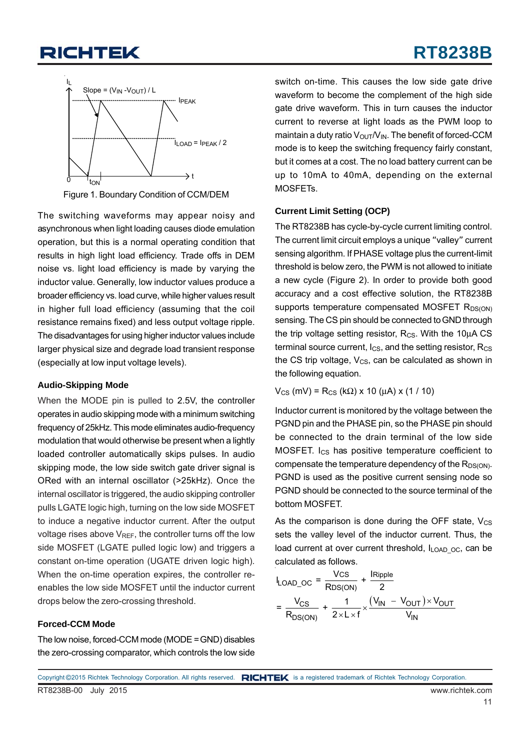# **RT8238B**



Figure 1. Boundary Condition of CCM/DEM

The switching waveforms may appear noisy and asynchronous when light loading causes diode emulation operation, but this is a normal operating condition that results in high light load efficiency. Trade offs in DEM noise vs. light load efficiency is made by varying the inductor value. Generally, low inductor values produce a broader efficiency vs. load curve, while higher values result in higher full load efficiency (assuming that the coil resistance remains fixed) and less output voltage ripple. The disadvantages for using higher inductor values include larger physical size and degrade load transient response (especially at low input voltage levels).

### **Audio-Skipping Mode**

When the MODE pin is pulled to 2.5V, the controller operates in audio skipping mode with a minimum switching frequency of 25kHz. This mode eliminates audio-frequency modulation that would otherwise be present when a lightly loaded controller automatically skips pulses. In audio skipping mode, the low side switch gate driver signal is ORed with an internal oscillator (>25kHz). Once the internal oscillator is triggered, the audio skipping controller pulls LGATE logic high, turning on the low side MOSFET to induce a negative inductor current. After the output voltage rises above  $V_{RFE}$ , the controller turns off the low side MOSFET (LGATE pulled logic low) and triggers a constant on-time operation (UGATE driven logic high). When the on-time operation expires, the controller reenables the low side MOSFET until the inductor current drops below the zero-crossing threshold.

### **Forced-CCM Mode**

The low noise, forced-CCM mode (MODE = GND) disables the zero-crossing comparator, which controls the low side switch on-time. This causes the low side gate drive waveform to become the complement of the high side gate drive waveform. This in turn causes the inductor current to reverse at light loads as the PWM loop to maintain a duty ratio  $V_{\text{OUT}}/V_{\text{IN}}$ . The benefit of forced-CCM mode is to keep the switching frequency fairly constant, but it comes at a cost. The no load battery current can be up to 10mA to 40mA, depending on the external MOSFETs.

### **Current Limit Setting (OCP)**

The RT8238B has cycle-by-cycle current limiting control. The current limit circuit employs a unique "valley" current sensing algorithm. If PHASE voltage plus the current-limit threshold is below zero, the PWM is not allowed to initiate a new cycle (Figure 2). In order to provide both good accuracy and a cost effective solution, the RT8238B supports temperature compensated MOSFET  $R_{DS(ON)}$ sensing. The CS pin should be connected to GND through the trip voltage setting resistor,  $R_{CS}$ . With the 10 $\mu$ A CS terminal source current,  $I_{CS}$ , and the setting resistor,  $R_{CS}$ the CS trip voltage,  $V_{CS}$ , can be calculated as shown in the following equation.

 $V_{CS}$  (mV) = R<sub>CS</sub> (kΩ) x 10 (μA) x (1 / 10)

Inductor current is monitored by the voltage between the PGND pin and the PHASE pin, so the PHASE pin should be connected to the drain terminal of the low side MOSFET. I<sub>CS</sub> has positive temperature coefficient to compensate the temperature dependency of the  $R_{DS(ON)}$ . PGND is used as the positive current sensing node so PGND should be connected to the source terminal of the bottom MOSFET.

As the comparison is done during the OFF state,  $V_{CS}$ sets the valley level of the inductor current. Thus, the load current at over current threshold, ILOAD oc, can be calculated as follows.

$$
I_{\text{LOAD\_OC}} = \frac{V_{\text{CS}}}{R_{\text{DS}(\text{ON})}} + \frac{I_{\text{Ripple}}}{2}
$$

$$
= \frac{V_{\text{CS}}}{R_{\text{DS}(\text{ON})}} + \frac{1}{2 \times L \times f} \times \frac{(V_{\text{IN}} - V_{\text{OUT}}) \times V_{\text{OUT}}}{V_{\text{IN}}}
$$

RT8238B-00 July 2015 www.richtek.com Copyright ©2015 Richtek Technology Corporation. All rights reserved. RICHTEK is a registered trademark of Richtek Technology Corporation.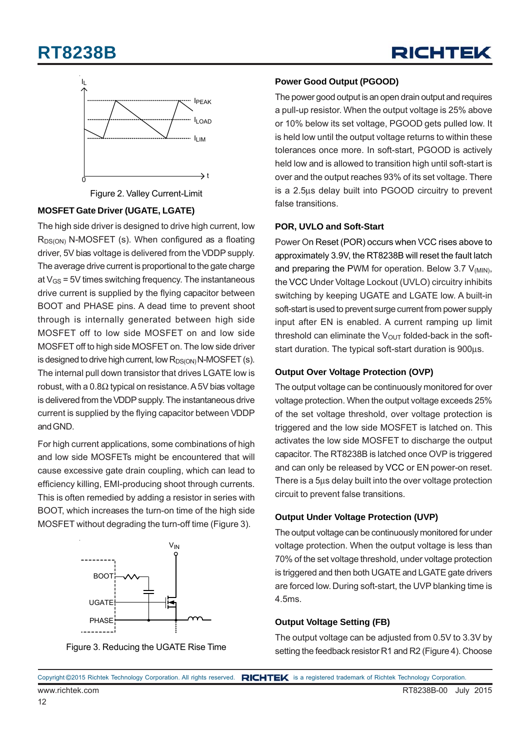# **RT8238B**





Figure 2. Valley Current-Limit

### **MOSFET Gate Driver (UGATE, LGATE)**

The high side driver is designed to drive high current, low  $R_{DS(ON)}$  N-MOSFET (s). When configured as a floating driver, 5V bias voltage is delivered from the VDDP supply. The average drive current is proportional to the gate charge at  $V_{\text{GS}}$  = 5V times switching frequency. The instantaneous drive current is supplied by the flying capacitor between BOOT and PHASE pins. A dead time to prevent shoot through is internally generated between high side MOSFET off to low side MOSFET on and low side MOSFET off to high side MOSFET on. The low side driver is designed to drive high current, low  $R_{DS(ON)}N-MOSFET$  (s). The internal pull down transistor that drives LGATE low is robust, with a 0.8Ω typical on resistance. A 5V bias voltage is delivered from the VDDP supply. The instantaneous drive current is supplied by the flying capacitor between VDDP and GND.

For high current applications, some combinations of high and low side MOSFETs might be encountered that will cause excessive gate drain coupling, which can lead to efficiency killing, EMI-producing shoot through currents. This is often remedied by adding a resistor in series with BOOT, which increases the turn-on time of the high side MOSFET without degrading the turn-off time (Figure 3).



Figure 3. Reducing the UGATE Rise Time

### **Power Good Output (PGOOD)**

The power good output is an open drain output and requires a pull-up resistor. When the output voltage is 25% above or 10% below its set voltage, PGOOD gets pulled low. It is held low until the output voltage returns to within these tolerances once more. In soft-start, PGOOD is actively held low and is allowed to transition high until soft-start is over and the output reaches 93% of its set voltage. There is a 2.5μs delay built into PGOOD circuitry to prevent false transitions.

### **POR, UVLO and Soft-Start**

Power On Reset (POR) occurs when VCC rises above to approximately 3.9V, the RT8238B will reset the fault latch and preparing the PWM for operation. Below 3.7  $V_{(MIN)}$ , the VCC Under Voltage Lockout (UVLO) circuitry inhibits switching by keeping UGATE and LGATE low. A built-in soft-start is used to prevent surge current from power supply input after EN is enabled. A current ramping up limit threshold can eliminate the  $V_{OUT}$  folded-back in the softstart duration. The typical soft-start duration is 900μs.

### **Output Over Voltage Protection (OVP)**

The output voltage can be continuously monitored for over voltage protection. When the output voltage exceeds 25% of the set voltage threshold, over voltage protection is triggered and the low side MOSFET is latched on. This activates the low side MOSFET to discharge the output capacitor. The RT8238B is latched once OVP is triggered and can only be released by VCC or EN power-on reset. There is a 5μs delay built into the over voltage protection circuit to prevent false transitions.

### **Output Under Voltage Protection (UVP)**

The output voltage can be continuously monitored for under voltage protection. When the output voltage is less than 70% of the set voltage threshold, under voltage protection is triggered and then both UGATE and LGATE gate drivers are forced low. During soft-start, the UVP blanking time is 4.5ms.

### **Output Voltage Setting (FB)**

The output voltage can be adjusted from 0.5V to 3.3V by setting the feedback resistor R1 and R2 (Figure 4). Choose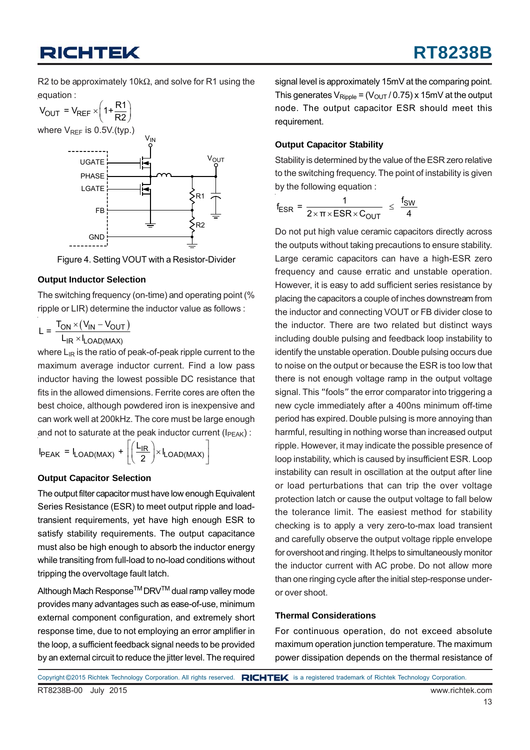R2 to be approximately 10kΩ, and solve for R1 using the equation :



Figure 4. Setting VOUT with a Resistor-Divider

### **Output Inductor Selection**

The switching frequency (on-time) and operating point (% ripple or LIR) determine the inductor value as follows :

$$
L = \frac{T_{ON} \times (V_{IN} - V_{OUT})}{L_{IR} \times I_{LOAD(MAX)}}
$$

where  $\mathsf{L}_{\text{IR}}$  is the ratio of peak-of-peak ripple current to the maximum average inductor current. Find a low pass inductor having the lowest possible DC resistance that fits in the allowed dimensions. Ferrite cores are often the best choice, although powdered iron is inexpensive and can work well at 200kHz. The core must be large enough and not to saturate at the peak inductor current ( $I_{\text{PEAK}}$ ):

$$
I_{\text{PEAK}} = I_{\text{LOAD(MAX)}} + \left[ \left( \frac{L_{\text{IR}}}{2} \right) \times I_{\text{LOAD(MAX)}} \right]
$$

#### **Output Capacitor Selection**

The output filter capacitor must have low enough Equivalent Series Resistance (ESR) to meet output ripple and loadtransient requirements, yet have high enough ESR to satisfy stability requirements. The output capacitance must also be high enough to absorb the inductor energy while transiting from full-load to no-load conditions without tripping the overvoltage fault latch.

Although Mach Response<sup>™</sup> DRV<sup>™</sup> dual ramp valley mode provides many advantages such as ease-of-use, minimum external component configuration, and extremely short response time, due to not employing an error amplifier in the loop, a sufficient feedback signal needs to be provided by an external circuit to reduce the jitter level. The required

signal level is approximately 15mV at the comparing point. This generates  $V_{\text{Rinole}} = (V_{\text{OUT}}/0.75) \times 15 \text{mV}$  at the output node. The output capacitor ESR should meet this requirement.

#### **Output Capacitor Stability**

Stability is determined by the value of the ESR zero relative to the switching frequency. The point of instability is given by the following equation :

$$
f_{ESR} = \frac{1}{2 \times \pi \times ESR \times C_{OUT}} \leq \frac{f_{SW}}{4}
$$

Do not put high value ceramic capacitors directly across the outputs without taking precautions to ensure stability. Large ceramic capacitors can have a high-ESR zero frequency and cause erratic and unstable operation. However, it is easy to add sufficient series resistance by placing the capacitors a couple of inches downstream from the inductor and connecting VOUT or FB divider close to the inductor. There are two related but distinct ways including double pulsing and feedback loop instability to identify the unstable operation. Double pulsing occurs due to noise on the output or because the ESR is too low that there is not enough voltage ramp in the output voltage signal. This "fools" the error comparator into triggering a new cycle immediately after a 400ns minimum off-time period has expired. Double pulsing is more annoying than harmful, resulting in nothing worse than increased output ripple. However, it may indicate the possible presence of loop instability, which is caused by insufficient ESR. Loop instability can result in oscillation at the output after line or load perturbations that can trip the over voltage protection latch or cause the output voltage to fall below the tolerance limit. The easiest method for stability checking is to apply a very zero-to-max load transient and carefully observe the output voltage ripple envelope for overshoot and ringing. It helps to simultaneously monitor the inductor current with AC probe. Do not allow more than one ringing cycle after the initial step-response underor over shoot.

#### **Thermal Considerations**

For continuous operation, do not exceed absolute maximum operation junction temperature. The maximum power dissipation depends on the thermal resistance of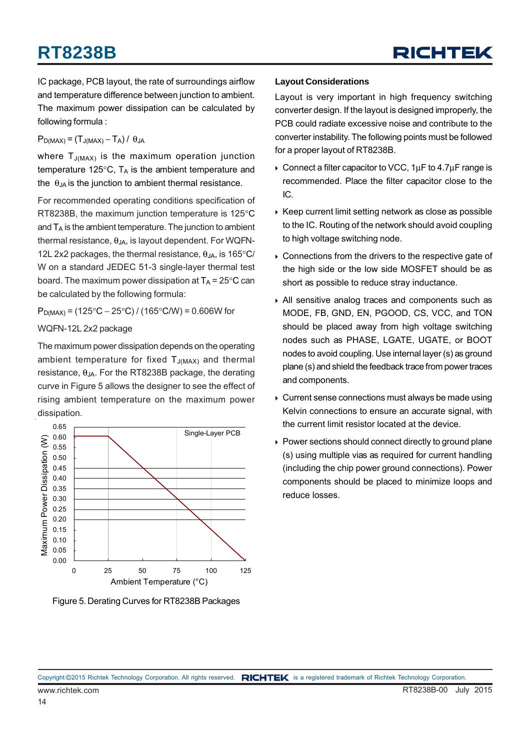IC package, PCB layout, the rate of surroundings airflow and temperature difference between junction to ambient. The maximum power dissipation can be calculated by following formula :

 $P_{D(MAX)} = (T_{J(MAX)} - T_A) / \theta_{JA}$ 

where  $T_{J(MAX)}$  is the maximum operation junction temperature 125 $\textdegree$ C, T<sub>A</sub> is the ambient temperature and the  $\theta_{JA}$  is the junction to ambient thermal resistance.

For recommended operating conditions specification of RT8238B, the maximum junction temperature is 125°C and  $T_A$  is the ambient temperature. The junction to ambient thermal resistance,  $θ_{JA}$ , is layout dependent. For WQFN-12L 2x2 packages, the thermal resistance,  $\theta_{JA}$ , is 165°C/ W on a standard JEDEC 51-3 single-layer thermal test board. The maximum power dissipation at  $T_A = 25^{\circ}C$  can be calculated by the following formula:

 $P_{D(MAX)} = (125 °C – 25 °C) / (165 °C/W) = 0.606 W$  for

WQFN-12L 2x2 package

The maximum power dissipation depends on the operating ambient temperature for fixed  $T_{J(MAX)}$  and thermal resistance,  $θ_{JA}$ . For the RT8238B package, the derating curve in Figure 5 allows the designer to see the effect of rising ambient temperature on the maximum power dissipation.



Figure 5. Derating Curves for RT8238B Packages

### **Layout Considerations**

Layout is very important in high frequency switching converter design. If the layout is designed improperly, the PCB could radiate excessive noise and contribute to the converter instability. The following points must be followed for a proper layout of RT8238B.

- Connect a filter capacitor to VCC,  $1\mu$ F to  $4.7\mu$ F range is recommended. Place the filter capacitor close to the IC.
- $\triangleright$  Keep current limit setting network as close as possible to the IC. Routing of the network should avoid coupling to high voltage switching node.
- Connections from the drivers to the respective gate of the high side or the low side MOSFET should be as short as possible to reduce stray inductance.
- All sensitive analog traces and components such as MODE, FB, GND, EN, PGOOD, CS, VCC, and TON should be placed away from high voltage switching nodes such as PHASE, LGATE, UGATE, or BOOT nodes to avoid coupling. Use internal layer (s) as ground plane (s) and shield the feedback trace from power traces and components.
- ▶ Current sense connections must always be made using Kelvin connections to ensure an accurate signal, with the current limit resistor located at the device.
- ▶ Power sections should connect directly to ground plane (s) using multiple vias as required for current handling (including the chip power ground connections). Power components should be placed to minimize loops and reduce losses.